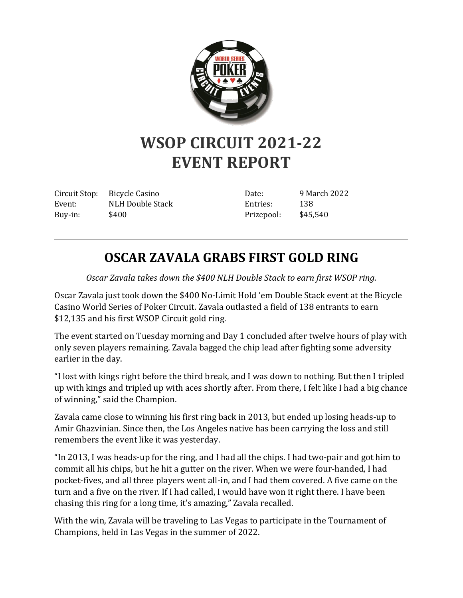

## **WSOP CIRCUIT 2021-22 EVENT REPORT**

Circuit Stop: Bicycle Casino Event: NLH Double Stack Buy-in: \$400

Date: 9 March 2022 Entries: 138 Prizepool: \$45,540

## **OSCAR ZAVALA GRABS FIRST GOLD RING**

*Oscar Zavala takes down the \$400 NLH Double Stack to earn first WSOP ring.*

Oscar Zavala just took down the \$400 No-Limit Hold 'em Double Stack event at the Bicycle Casino World Series of Poker Circuit. Zavala outlasted a field of 138 entrants to earn \$12,135 and his first WSOP Circuit gold ring.

The event started on Tuesday morning and Day 1 concluded after twelve hours of play with only seven players remaining. Zavala bagged the chip lead after fighting some adversity earlier in the day.

"I lost with kings right before the third break, and I was down to nothing. But then I tripled up with kings and tripled up with aces shortly after. From there, I felt like I had a big chance of winning," said the Champion.

Zavala came close to winning his first ring back in 2013, but ended up losing heads-up to Amir Ghazvinian. Since then, the Los Angeles native has been carrying the loss and still remembers the event like it was yesterday.

"In 2013, I was heads-up for the ring, and I had all the chips. I had two-pair and got him to commit all his chips, but he hit a gutter on the river. When we were four-handed, I had pocket-fives, and all three players went all-in, and I had them covered. A five came on the turn and a five on the river. If I had called, I would have won it right there. I have been chasing this ring for a long time, it's amazing," Zavala recalled.

With the win, Zavala will be traveling to Las Vegas to participate in the Tournament of Champions, held in Las Vegas in the summer of 2022.